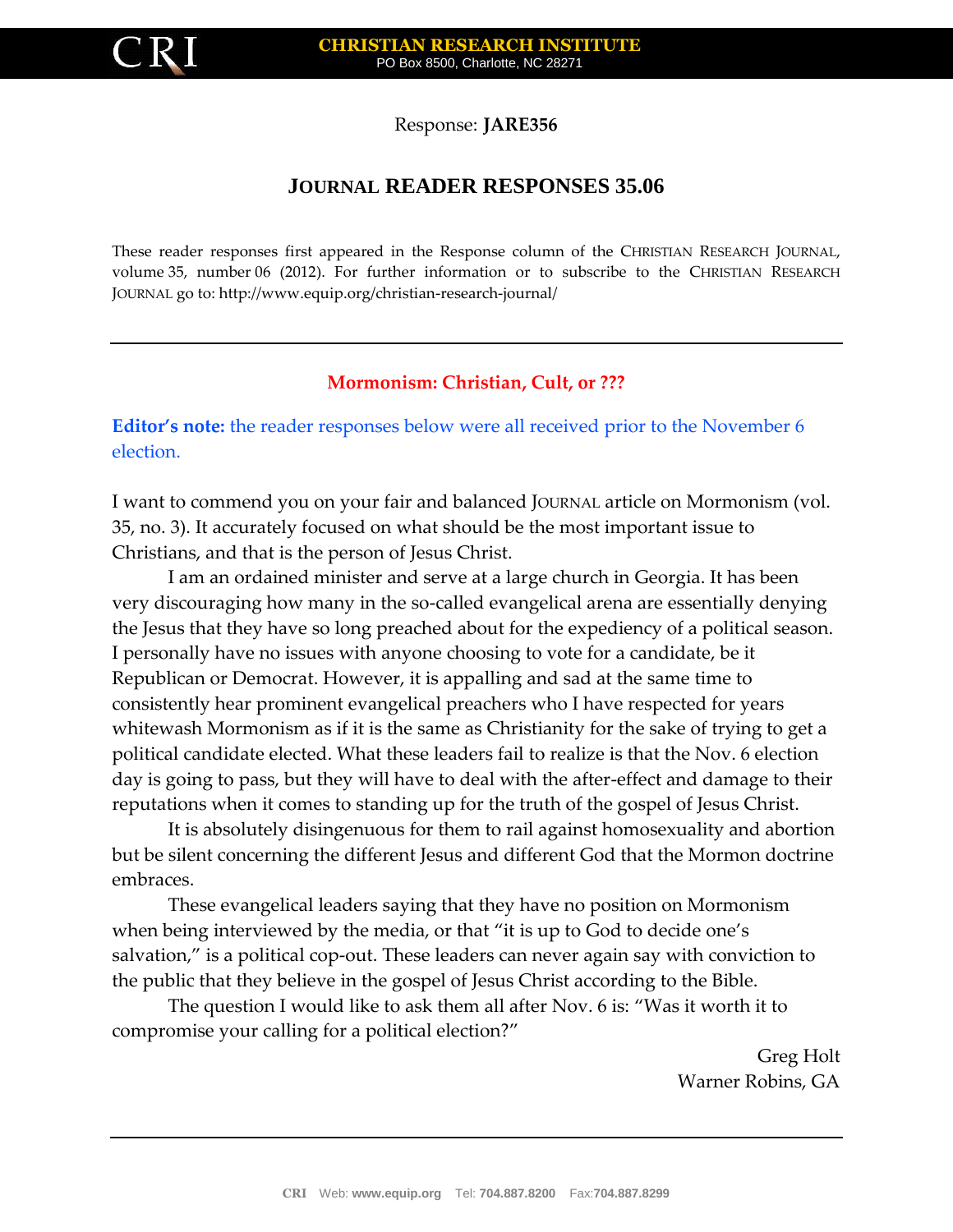

Response: **JARE356**

## **JOURNAL READER RESPONSES 35.06**

These reader responses first appeared in the Response column of the CHRISTIAN RESEARCH JOURNAL, volume 35, number 06 (2012). For further information or to subscribe to the CHRISTIAN RESEARCH JOURNAL go to: http://www.equip.org/christian-research-journal/

## **Mormonism: Christian, Cult, or ???**

**Editor's note:** the reader responses below were all received prior to the November 6 election.

I want to commend you on your fair and balanced JOURNAL article on Mormonism (vol. 35, no. 3). It accurately focused on what should be the most important issue to Christians, and that is the person of Jesus Christ.

I am an ordained minister and serve at a large church in Georgia. It has been very discouraging how many in the so-called evangelical arena are essentially denying the Jesus that they have so long preached about for the expediency of a political season. I personally have no issues with anyone choosing to vote for a candidate, be it Republican or Democrat. However, it is appalling and sad at the same time to consistently hear prominent evangelical preachers who I have respected for years whitewash Mormonism as if it is the same as Christianity for the sake of trying to get a political candidate elected. What these leaders fail to realize is that the Nov. 6 election day is going to pass, but they will have to deal with the after-effect and damage to their reputations when it comes to standing up for the truth of the gospel of Jesus Christ.

It is absolutely disingenuous for them to rail against homosexuality and abortion but be silent concerning the different Jesus and different God that the Mormon doctrine embraces.

These evangelical leaders saying that they have no position on Mormonism when being interviewed by the media, or that "it is up to God to decide one's salvation," is a political cop-out. These leaders can never again say with conviction to the public that they believe in the gospel of Jesus Christ according to the Bible.

The question I would like to ask them all after Nov. 6 is: "Was it worth it to compromise your calling for a political election?"

> Greg Holt Warner Robins, GA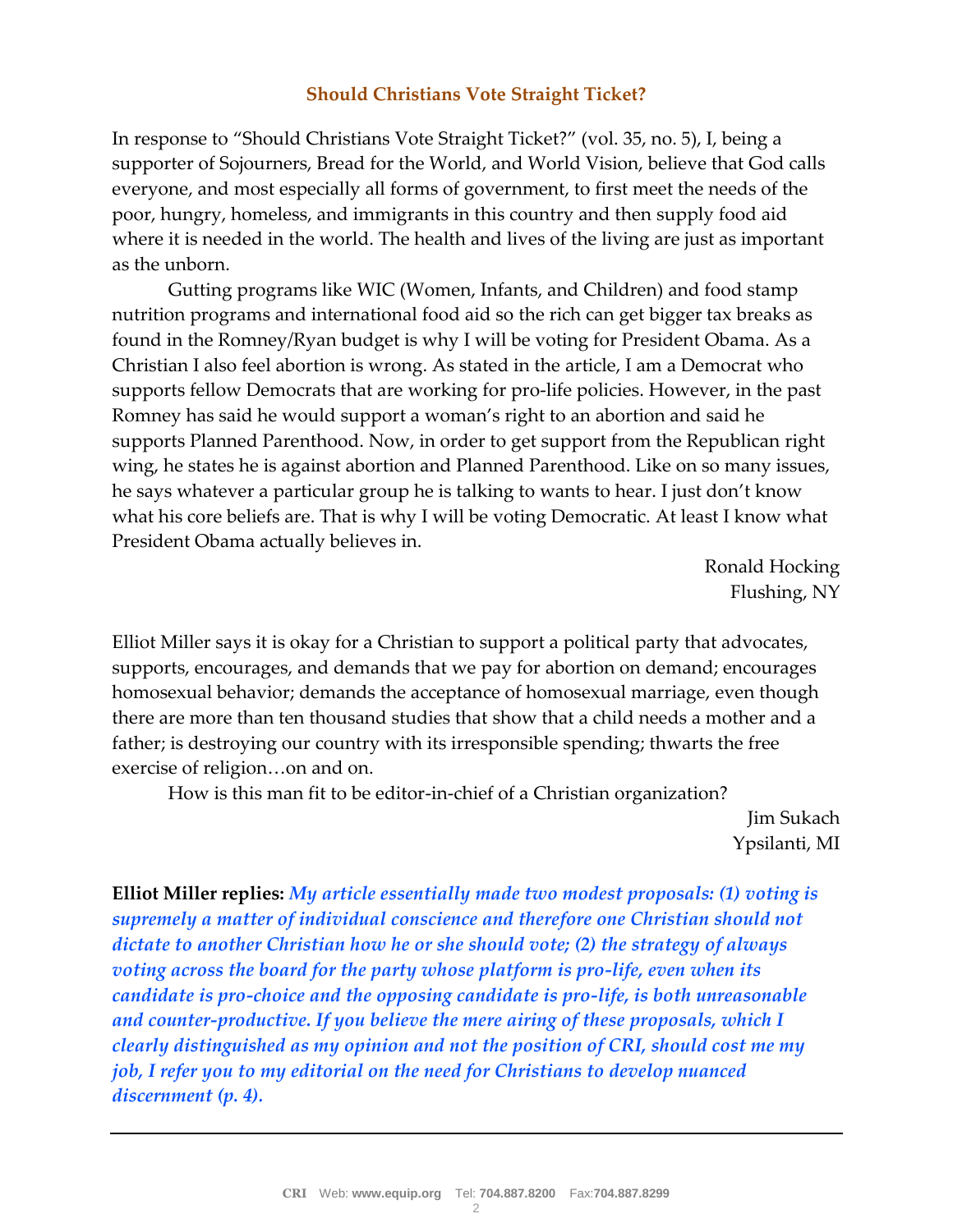## **Should Christians Vote Straight Ticket?**

In response to "Should Christians Vote Straight Ticket?" (vol. 35, no. 5), I, being a supporter of Sojourners, Bread for the World, and World Vision, believe that God calls everyone, and most especially all forms of government, to first meet the needs of the poor, hungry, homeless, and immigrants in this country and then supply food aid where it is needed in the world. The health and lives of the living are just as important as the unborn.

Gutting programs like WIC (Women, Infants, and Children) and food stamp nutrition programs and international food aid so the rich can get bigger tax breaks as found in the Romney/Ryan budget is why I will be voting for President Obama. As a Christian I also feel abortion is wrong. As stated in the article, I am a Democrat who supports fellow Democrats that are working for pro-life policies. However, in the past Romney has said he would support a woman's right to an abortion and said he supports Planned Parenthood. Now, in order to get support from the Republican right wing, he states he is against abortion and Planned Parenthood. Like on so many issues, he says whatever a particular group he is talking to wants to hear. I just don't know what his core beliefs are. That is why I will be voting Democratic. At least I know what President Obama actually believes in.

> Ronald Hocking Flushing, NY

Elliot Miller says it is okay for a Christian to support a political party that advocates, supports, encourages, and demands that we pay for abortion on demand; encourages homosexual behavior; demands the acceptance of homosexual marriage, even though there are more than ten thousand studies that show that a child needs a mother and a father; is destroying our country with its irresponsible spending; thwarts the free exercise of religion…on and on.

How is this man fit to be editor-in-chief of a Christian organization?

Jim Sukach Ypsilanti, MI

**Elliot Miller replies:** *My article essentially made two modest proposals: (1) voting is supremely a matter of individual conscience and therefore one Christian should not dictate to another Christian how he or she should vote; (2) the strategy of always voting across the board for the party whose platform is pro-life, even when its candidate is pro-choice and the opposing candidate is pro-life, is both unreasonable and counter-productive. If you believe the mere airing of these proposals, which I clearly distinguished as my opinion and not the position of CRI, should cost me my job, I refer you to my editorial on the need for Christians to develop nuanced discernment (p. 4).*